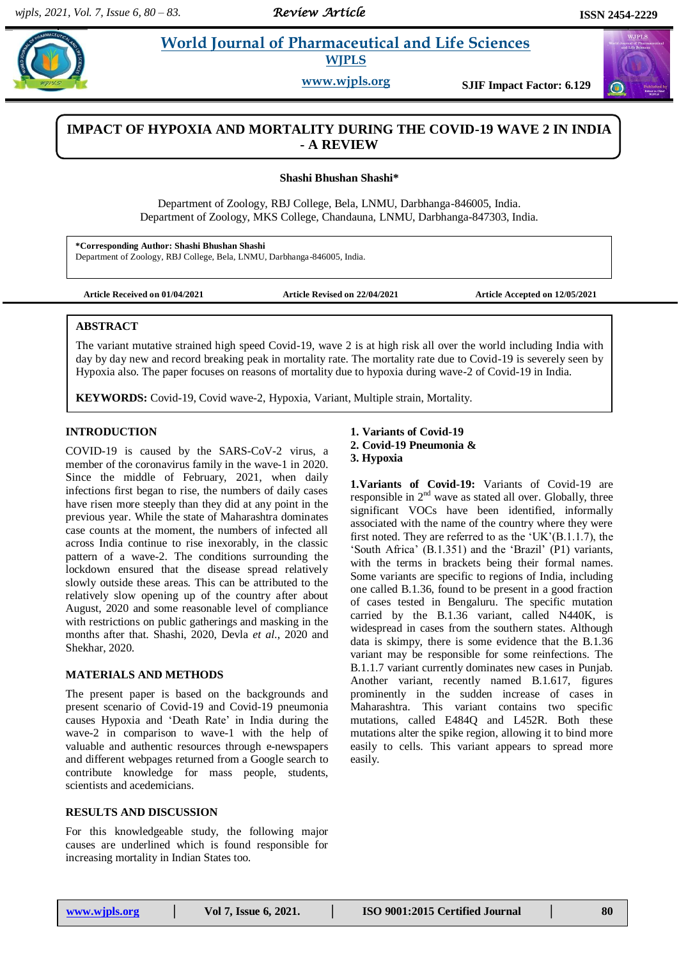# **Share 2 World Journal of Pharmaceutical and Life Sciences WJPLS**

**www.wjpls.org SJIF Impact Factor: 6.129**

## **IMPACT OF HYPOXIA AND MORTALITY DURING THE COVID-19 WAVE 2 IN INDIA - A REVIEW**

**Shashi Bhushan Shashi\***

Department of Zoology, RBJ College, Bela, LNMU, Darbhanga-846005, India. Department of Zoology, MKS College, Chandauna, LNMU, Darbhanga-847303, India.

**\*Corresponding Author: Shashi Bhushan Shashi** Department of Zoology, RBJ College, Bela, LNMU, Darbhanga-846005, India.

**Article Received on 01/04/2021 Article Revised on 22/04/2021 Article Accepted on 12/05/2021**

### **ABSTRACT**

The variant mutative strained high speed Covid-19, wave 2 is at high risk all over the world including India with day by day new and record breaking peak in mortality rate. The mortality rate due to Covid-19 is severely seen by Hypoxia also. The paper focuses on reasons of mortality due to hypoxia during wave-2 of Covid-19 in India.

**KEYWORDS:** Covid-19, Covid wave-2, Hypoxia, Variant, Multiple strain, Mortality.

## **INTRODUCTION**

COVID-19 is caused by the SARS-CoV-2 virus, a member of the coronavirus family in the wave-1 in 2020. Since the middle of February, 2021, when daily infections first began to rise, the numbers of daily cases have risen more steeply than they did at any point in the previous year. While the state of Maharashtra dominates case counts at the moment, the numbers of infected all across India continue to rise inexorably, in the classic pattern of a wave-2. The conditions surrounding the lockdown ensured that the disease spread relatively slowly outside these areas. This can be attributed to the relatively slow opening up of the country after about August, 2020 and some reasonable level of compliance with restrictions on public gatherings and masking in the months after that. Shashi, 2020, Devla *et al*., 2020 and Shekhar, 2020.

#### **MATERIALS AND METHODS**

The present paper is based on the backgrounds and present scenario of Covid-19 and Covid-19 pneumonia causes Hypoxia and 'Death Rate' in India during the wave-2 in comparison to wave-1 with the help of valuable and authentic resources through e-newspapers and different webpages returned from a Google search to contribute knowledge for mass people, students, scientists and acedemicians.

### **RESULTS AND DISCUSSION**

For this knowledgeable study, the following major causes are underlined which is found responsible for increasing mortality in Indian States too.

## **1. Variants of Covid-19 2. Covid-19 Pneumonia & 3. Hypoxia**

**1.Variants of Covid-19:** Variants of Covid-19 are responsible in  $2<sup>nd</sup>$  wave as stated all over. Globally, three significant VOCs have been identified, informally associated with the name of the country where they were first noted. They are referred to as the 'UK'(B.1.1.7), the 'South Africa' (B.1.351) and the 'Brazil' (P1) variants, with the terms in brackets being their formal names. Some variants are specific to regions of India, including one called B.1.36, found to be present in a good fraction of cases tested in Bengaluru. The specific mutation carried by the B.1.36 variant, called N440K, is widespread in cases from the southern states. Although data is skimpy, there is some evidence that the B.1.36 variant may be responsible for some reinfections. The B.1.1.7 variant currently dominates new cases in Punjab. Another variant, recently named B.1.617, figures prominently in the sudden increase of cases in Maharashtra. This variant contains two specific mutations, called E484Q and L452R. Both these mutations alter the spike region, allowing it to bind more easily to cells. This variant appears to spread more easily.

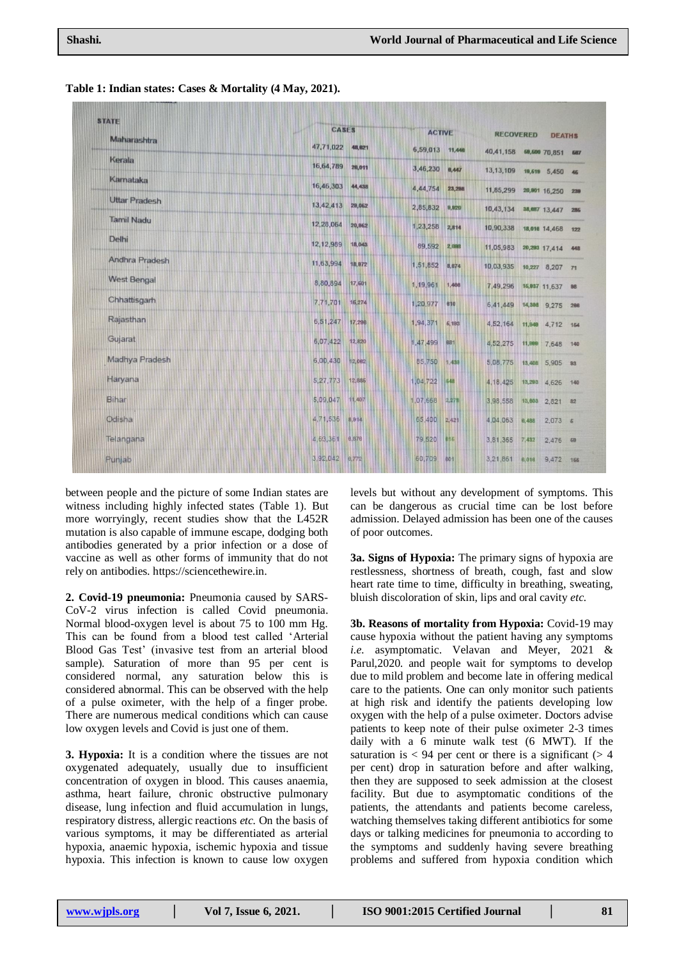| <b>STATE</b>         | <b>CASES</b> |        | <b>ACTIVE</b> |            | <b>RECOVERED</b><br><b>DEATHS</b> |        |                   |     |
|----------------------|--------------|--------|---------------|------------|-----------------------------------|--------|-------------------|-----|
| Maharashtra          | 47,71,022    | 48,821 | 6,59,013      | 11,448     | 40,41,158                         |        | 69,600 70,851     | 687 |
| Kerala               | 16,64,789    | 28,011 | 3,46,230      | 8,447      | 13, 13, 109                       |        | 19,619 5,450 46   |     |
| Karnataka            | 16,46,303    | 44,438 | 4,44,754      | 23,298     | 11,85,299                         |        | 20,901 16,250 239 |     |
| <b>Uttar Pradesh</b> | 13,42,413    | 29,062 | 2,85,832      | 9,820      | 10,43,134                         |        | 38,887 13,447     | 286 |
| <b>Tamil Nadu</b>    | 12,28,064    | 20,862 | 1,23,258      | 2,814      | 10,90,338                         |        | 18,016 14,468 122 |     |
| Delhi                | 12, 12, 989  | 18,043 | 89,592        | 2,888      | 11,05,983                         |        | 20,293 17,414 448 |     |
| Andhra Pradesh       | 11,63,994    | 18,972 | 1,51,852      | 8,874      | 10,03,935                         |        | 10,227 8,207 71   |     |
| <b>West Bengal</b>   | 8,80,894     | 17,501 | 1,19,961      | 1,488      | 7,49,296                          |        | 15,937 11,637 88  |     |
| Chhattisgarh         | 7,71,701     | 16,274 | 1,20,977      | 610        | 6,41,449                          |        | 14,388 9,275 288  |     |
| Rajasthan            | 6,51,247     | 17,296 | 1,94,371      | 5,183      | 4,52,164                          |        | 11,848 4,712 154  |     |
| Gujarat              | 6,07,422     | 12,820 | 1,47,499      | 681        | 4,52,275                          |        | 11,999 7,648 140  |     |
| Madhya Pradesh       | 6,00,430     | 12,082 | 85,750        | 1,438      | 5,08,775                          |        | 13,408 5,905 83   |     |
| Haryana              | 5,27,773     | 12,885 | 1,04,722      | 648        | 4, 18, 425                        |        | 13,283 4,626 140  |     |
| Bihar                | 5,09,047     | 11,407 | 1,07,668      | 2,278      | 3,98,558                          | 13,803 | 2,821 82          |     |
| Odisha               | 4,71,536     | 8,814  | 65,400        | 2,421      | 4,04,063                          | 6,488  | $2,073$ 5         |     |
| Telangana            | 4,63,361     | 8,878  | 79,520        | <b>B16</b> | 3,81,365                          | 7,432  | $2,476$ 68        |     |
| Punjab               | 3,92,042     | 0.772  | 60,709        | 601        | 3,21,861 8,018                    |        | 9,472 166         |     |

**Table 1: Indian states: Cases & Mortality (4 May, 2021).**

between people and the picture of some Indian states are witness including highly infected states (Table 1). But more worryingly, recent studies show that the L452R mutation is also capable of immune escape, dodging both antibodies generated by a prior infection or a dose of vaccine as well as other forms of immunity that do not rely on antibodies. [https://sciencethewire.in.](https://sciencethewire.in/)

**2. Covid-19 pneumonia:** Pneumonia caused by SARS-CoV-2 virus infection is called Covid pneumonia. Normal blood-oxygen level is about 75 to 100 mm Hg. This can be found from a blood test called 'Arterial Blood Gas Test' (invasive test from an arterial blood sample). Saturation of more than 95 per cent is considered normal, any saturation below this is considered abnormal. This can be observed with the help of a pulse oximeter, with the help of a finger probe. There are numerous medical conditions which can cause low oxygen levels and Covid is just one of them.

**3. Hypoxia:** It is a condition where the tissues are not oxygenated adequately, usually due to insufficient concentration of oxygen in blood. This causes anaemia, asthma, heart failure, chronic obstructive pulmonary disease, lung infection and fluid accumulation in lungs, respiratory distress, allergic reactions *etc.* On the basis of various symptoms, it may be differentiated as arterial hypoxia, anaemic hypoxia, ischemic hypoxia and tissue hypoxia. This infection is known to cause low oxygen

levels but without any development of symptoms. This can be dangerous as crucial time can be lost before admission. Delayed admission has been one of the causes of poor outcomes.

**3a. Signs of Hypoxia:** The primary signs of hypoxia are restlessness, shortness of breath, cough, fast and slow heart rate time to time, difficulty in breathing, sweating, bluish discoloration of skin, lips and oral cavity *etc.*

**3b. Reasons of mortality from Hypoxia:** Covid-19 may cause hypoxia without the patient having any symptoms *i.e.* asymptomatic. Velavan and Meyer, 2021 & Parul,2020. and people wait for symptoms to develop due to mild problem and become late in offering medical care to the patients. One can only monitor such patients at high risk and identify the patients developing low oxygen with the help of a pulse oximeter. Doctors advise patients to keep note of their pulse oximeter 2-3 times daily with a 6 minute walk test (6 MWT). If the saturation is  $< 94$  per cent or there is a significant ( $> 4$ ) per cent) drop in saturation before and after walking, then they are supposed to seek admission at the closest facility. But due to asymptomatic conditions of the patients, the attendants and patients become careless, watching themselves taking different antibiotics for some days or talking medicines for pneumonia to according to the symptoms and suddenly having severe breathing problems and suffered from hypoxia condition which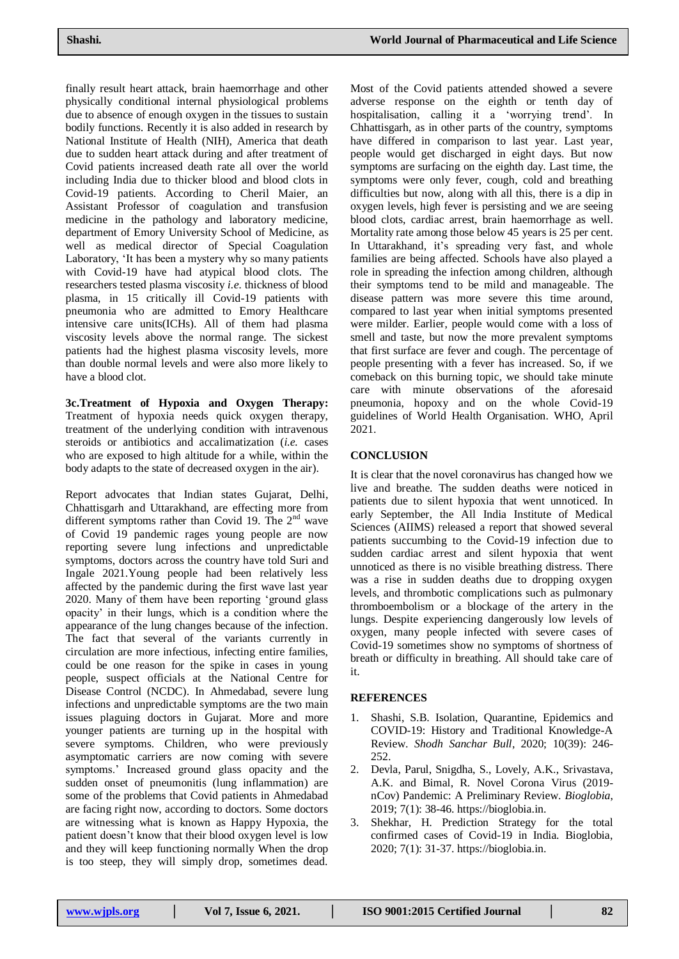finally result heart attack, brain haemorrhage and other physically conditional internal physiological problems due to absence of enough oxygen in the tissues to sustain bodily functions. Recently it is also added in research by National Institute of Health (NIH), America that death due to sudden heart attack during and after treatment of Covid patients increased death rate all over the world including India due to thicker blood and blood clots in Covid-19 patients. According to Cheril Maier, an Assistant Professor of coagulation and transfusion medicine in the pathology and laboratory medicine, department of Emory University School of Medicine, as well as medical director of Special Coagulation Laboratory, 'It has been a mystery why so many patients with Covid-19 have had atypical blood clots. The researchers tested plasma viscosity *i.e.* thickness of blood plasma, in 15 critically ill Covid-19 patients with pneumonia who are admitted to Emory Healthcare intensive care units(ICHs). All of them had plasma viscosity levels above the normal range. The sickest patients had the highest plasma viscosity levels, more than double normal levels and were also more likely to have a blood clot.

**3c.Treatment of Hypoxia and Oxygen Therapy:**  Treatment of hypoxia needs quick oxygen therapy, treatment of the underlying condition with intravenous steroids or antibiotics and accalimatization (*i.e.* cases who are exposed to high altitude for a while, within the body adapts to the state of decreased oxygen in the air).

Report advocates that Indian states Gujarat, Delhi, Chhattisgarh and Uttarakhand, are effecting more from different symptoms rather than Covid 19. The  $2<sup>nd</sup>$  wave of Covid 19 pandemic rages young people are now reporting severe lung infections and unpredictable symptoms, doctors across the country have told Suri and Ingale 2021.Young people had been relatively less affected by the pandemic during the first wave last year 2020. Many of them have been reporting 'ground glass opacity' in their lungs, which is a condition where the appearance of the lung changes because of the infection. The fact that several of the variants currently in circulation are more infectious, infecting entire families, could be one reason for the spike in cases in young people, suspect officials at the National Centre for Disease Control (NCDC). In Ahmedabad, severe lung infections and unpredictable symptoms are the two main issues plaguing doctors in Gujarat. More and more younger patients are turning up in the hospital with severe symptoms. Children, who were previously asymptomatic carriers are now coming with severe symptoms.' Increased ground glass opacity and the sudden onset of pneumonitis (lung inflammation) are some of the problems that Covid patients in Ahmedabad are facing right now, according to doctors. Some doctors are witnessing what is known as Happy Hypoxia, the patient doesn't know that their blood oxygen level is low and they will keep functioning normally When the drop is too steep, they will simply drop, sometimes dead.

Most of the Covid patients attended showed a severe adverse response on the eighth or tenth day of hospitalisation, calling it a 'worrying trend'. In Chhattisgarh, as in other parts of the country, symptoms have differed in comparison to last year. Last year, people would get discharged in eight days. But now symptoms are surfacing on the eighth day. Last time, the symptoms were only fever, cough, cold and breathing difficulties but now, along with all this, there is a dip in oxygen levels, high fever is persisting and we are seeing blood clots, cardiac arrest, brain haemorrhage as well. Mortality rate among those below 45 years is 25 per cent. In Uttarakhand, it's spreading very fast, and whole families are being affected. Schools have also played a role in spreading the infection among children, although their symptoms tend to be mild and manageable. The disease pattern was more severe this time around, compared to last year when initial symptoms presented were milder. Earlier, people would come with a loss of smell and taste, but now the more prevalent symptoms that first surface are fever and cough. The percentage of people presenting with a fever has increased. So, if we comeback on this burning topic, we should take minute care with minute observations of the aforesaid pneumonia, hopoxy and on the whole Covid-19 guidelines of World Health Organisation. WHO, April 2021.

## **CONCLUSION**

It is clear that the novel coronavirus has changed how we live and breathe. The sudden deaths were noticed in patients due to silent hypoxia that went unnoticed. In early September, the All India Institute of Medical Sciences (AIIMS) released a report that showed several patients succumbing to the Covid-19 infection due to sudden cardiac arrest and silent hypoxia that went unnoticed as there is no visible breathing distress. There was a rise in sudden deaths due to dropping oxygen levels, and thrombotic complications such as pulmonary thromboembolism or a blockage of the artery in the lungs. Despite experiencing dangerously low levels of oxygen, many people infected with severe cases of Covid-19 sometimes show no symptoms of shortness of breath or difficulty in breathing. All should take care of it.

## **REFERENCES**

- 1. Shashi, S.B. Isolation, Quarantine, Epidemics and COVID-19: History and Traditional Knowledge-A Review. *Shodh Sanchar Bull*, 2020; 10(39): 246- 252.
- 2. Devla, Parul, Snigdha, S., Lovely, A.K., Srivastava, A.K. and Bimal, R. Novel Corona Virus (2019 nCov) Pandemic: A Preliminary Review. *Bioglobia*, 2019; 7(1): 38-46. [https://bioglobia.in.](https://bioglobia.in/)
- 3. Shekhar, H. Prediction Strategy for the total confirmed cases of Covid-19 in India. Bioglobia, 2020; 7(1): 31-37. [https://bioglobia.in.](https://bioglobia.in/)